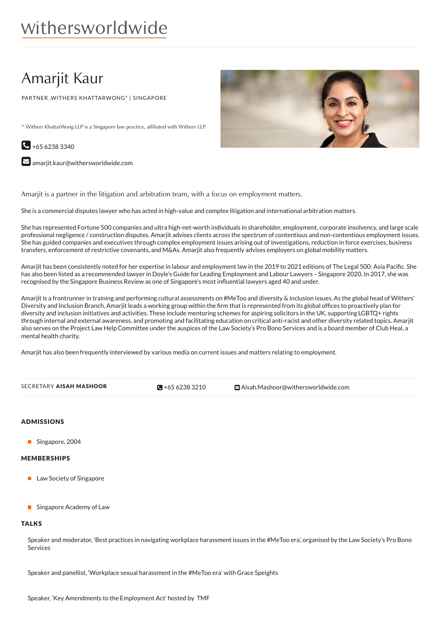# Amarjit Kaur

PARTNER ,WITHERS KHATTARWONG\* | SINGAPORE

\* Withers KhattarWong LLP is a Singapore law practice, affiliated with Withers LLP.

 $\bigodot$  +65 6238 3340

 $\blacktriangleright$  [amarjit.kaur@withersworldwide.com](mailto:amarjit.kaur@withersworldwide.com?subject=Website Enquiry - Profile Page)

Amarjit is a partner in the litigation and arbitration team, with a focus on employment matters.

She is a commercial disputes lawyer who has acted in high-value and complex litigation and international arbitration matters.

She has represented Fortune 500 companies and ultra high-net-worth individuals in shareholder, employment, corporate insolvency, and large scale professional negligence / construction disputes. Amarjit advises clients across the spectrum of contentious and non-contentious employment issues. She has guided companies and executives through complex employment issues arising out of investigations, reduction in force exercises, business transfers, enforcement of restrictive covenants, and M&As. Amarjit also frequently advises employers on global mobility matters.

Amarjit has been consistently noted for her expertise in labour and employment law in the 2019 to 2021 editions of The Legal 500: Asia Pacific. She has also been listed as a recommended lawyer in Doyle's Guide for Leading Employment and Labour Lawyers – Singapore 2020. In 2017, she was recognised by the Singapore Business Review as one of Singapore's most influential lawyers aged 40 and under.

Amarjit is a frontrunner in training and performing cultural assessments on #MeToo and diversity & inclusion issues. As the global head of Withers' Diversity and Inclusion Branch, Amarjit leads a working group within the firm that is represented from its global offices to proactively plan for diversity and inclusion initiatives and activities. These include mentoring schemes for aspiring solicitors in the UK, supporting LGBTQ+ rights through internal and external awareness, and promoting and facilitating education on critical anti-racist and other diversity related topics. Amarjit also serves on the Project Law Help Committee under the auspices of the Law Society's Pro Bono Services and is a board member of Club Heal, a mental health charity.

Amarjit has also been frequently interviewed by various media on current issues and matters relating to employment.

| SECRETARY AISAH MASHOOR | $\bigotimes$ +65 6238 3210 | <b>⊠</b> Aisah.Mashoor@withersworldwide.com |
|-------------------------|----------------------------|---------------------------------------------|
|                         |                            |                                             |

#### ADMISSIONS

Singapore, 2004

#### MEMBERSHIPS

- **Law Society of Singapore**
- **Singapore Academy of Law**

#### **TALKS**

Speaker and moderator, 'Best practices in navigating workplace harassment issues in the #MeToo era', organised by the Law Society's Pro Bono **Services** 

Speaker and panellist, 'Workplace sexual harassment in the #MeToo era' with Grace Speights